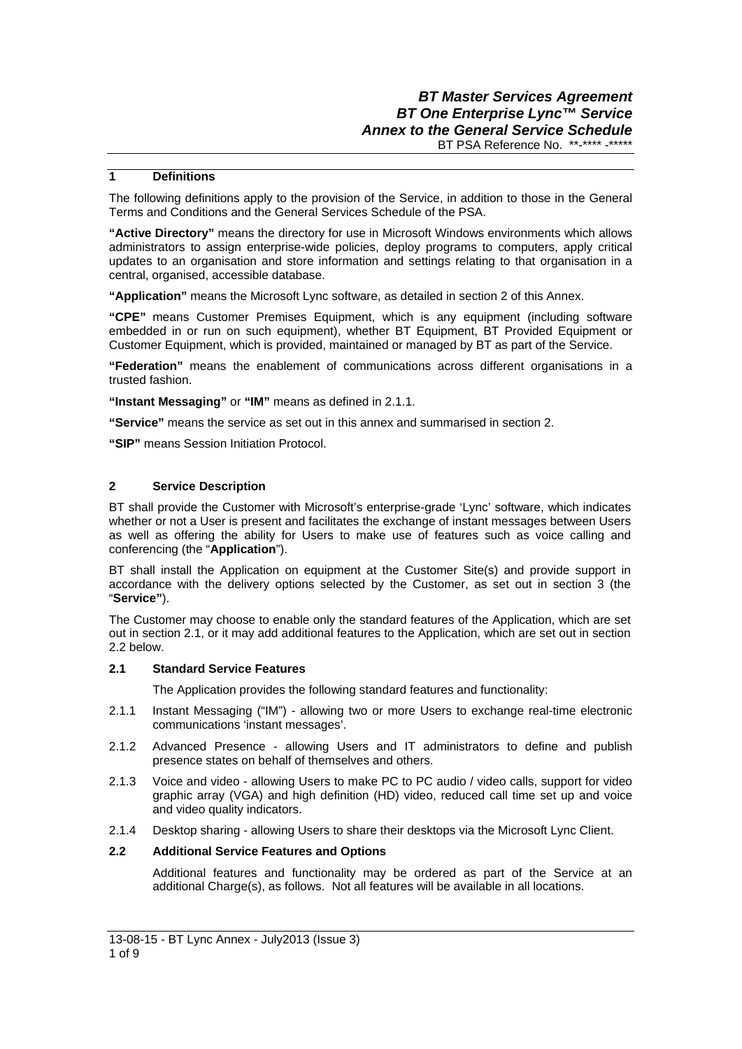## **1 Definitions**

The following definitions apply to the provision of the Service, in addition to those in the General Terms and Conditions and the General Services Schedule of the PSA.

**"Active Directory"** means the directory for use in Microsoft Windows environments which allows administrators to assign enterprise-wide policies, deploy programs to computers, apply critical updates to an organisation and store information and settings relating to that organisation in a central, organised, accessible database.

**"Application"** means the Microsoft Lync software, as detailed in section 2 of this Annex.

**"CPE"** means Customer Premises Equipment, which is any equipment (including software embedded in or run on such equipment), whether BT Equipment, BT Provided Equipment or Customer Equipment, which is provided, maintained or managed by BT as part of the Service.

**"Federation"** means the enablement of communications across different organisations in a trusted fashion.

**"Instant Messaging"** or **"IM"** means as defined in 2.1.1.

**"Service"** means the service as set out in this annex and summarised in section 2.

**"SIP"** means Session Initiation Protocol.

# **2 Service Description**

BT shall provide the Customer with Microsoft's enterprise-grade 'Lync' software, which indicates whether or not a User is present and facilitates the exchange of instant messages between Users as well as offering the ability for Users to make use of features such as voice calling and conferencing (the "**Application**").

BT shall install the Application on equipment at the Customer Site(s) and provide support in accordance with the delivery options selected by the Customer, as set out in section 3 (the "**Service"**).

The Customer may choose to enable only the standard features of the Application, which are set out in section 2.1, or it may add additional features to the Application, which are set out in section 2.2 below.

### **2.1 Standard Service Features**

The Application provides the following standard features and functionality:

- 2.1.1 Instant Messaging ("IM") allowing two or more Users to exchange real-time electronic communications 'instant messages'.
- 2.1.2 Advanced Presence allowing Users and IT administrators to define and publish presence states on behalf of themselves and others.
- 2.1.3 Voice and video allowing Users to make PC to PC audio / video calls, support for video graphic array (VGA) and high definition (HD) video, reduced call time set up and voice and video quality indicators.
- 2.1.4 Desktop sharing allowing Users to share their desktops via the Microsoft Lync Client.

# **2.2 Additional Service Features and Options**

Additional features and functionality may be ordered as part of the Service at an additional Charge(s), as follows. Not all features will be available in all locations.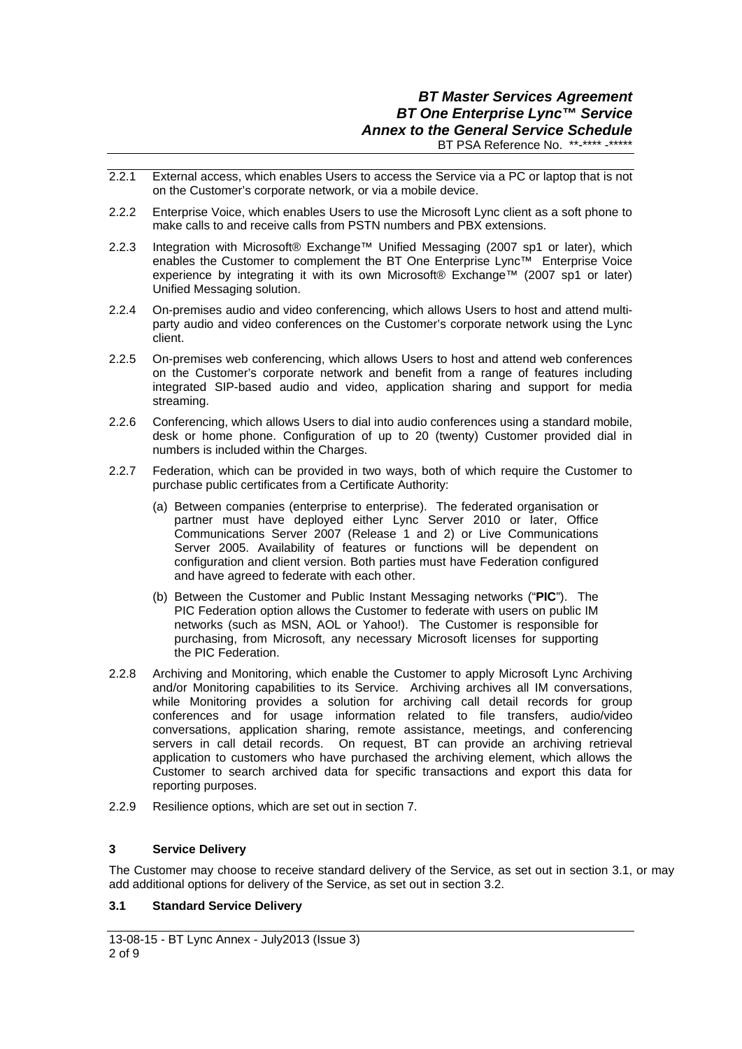- 2.2.1 External access, which enables Users to access the Service via a PC or laptop that is not on the Customer's corporate network, or via a mobile device.
- 2.2.2 Enterprise Voice, which enables Users to use the Microsoft Lync client as a soft phone to make calls to and receive calls from PSTN numbers and PBX extensions.
- 2.2.3 Integration with Microsoft® Exchange™ Unified Messaging (2007 sp1 or later), which enables the Customer to complement the BT One Enterprise Lync™ Enterprise Voice experience by integrating it with its own Microsoft® Exchange™ (2007 sp1 or later) Unified Messaging solution.
- 2.2.4 On-premises audio and video conferencing, which allows Users to host and attend multiparty audio and video conferences on the Customer's corporate network using the Lync client.
- 2.2.5 On-premises web conferencing, which allows Users to host and attend web conferences on the Customer's corporate network and benefit from a range of features including integrated SIP-based audio and video, application sharing and support for media streaming.
- 2.2.6 Conferencing, which allows Users to dial into audio conferences using a standard mobile, desk or home phone. Configuration of up to 20 (twenty) Customer provided dial in numbers is included within the Charges.
- 2.2.7 Federation, which can be provided in two ways, both of which require the Customer to purchase public certificates from a Certificate Authority:
	- (a) Between companies (enterprise to enterprise). The federated organisation or partner must have deployed either Lync Server 2010 or later, Office Communications Server 2007 (Release 1 and 2) or Live Communications Server 2005. Availability of features or functions will be dependent on configuration and client version. Both parties must have Federation configured and have agreed to federate with each other.
	- (b) Between the Customer and Public Instant Messaging networks ("**PIC**"). The PIC Federation option allows the Customer to federate with users on public IM networks (such as MSN, AOL or Yahoo!). The Customer is responsible for purchasing, from Microsoft, any necessary Microsoft licenses for supporting the PIC Federation.
- 2.2.8 Archiving and Monitoring, which enable the Customer to apply Microsoft Lync Archiving and/or Monitoring capabilities to its Service. Archiving archives all IM conversations, while Monitoring provides a solution for archiving call detail records for group conferences and for usage information related to file transfers, audio/video conversations, application sharing, remote assistance, meetings, and conferencing servers in call detail records. On request, BT can provide an archiving retrieval application to customers who have purchased the archiving element, which allows the Customer to search archived data for specific transactions and export this data for reporting purposes.
- 2.2.9 Resilience options, which are set out in section 7.

# **3 Service Delivery**

The Customer may choose to receive standard delivery of the Service, as set out in section 3.1, or may add additional options for delivery of the Service, as set out in section 3.2.

# **3.1 Standard Service Delivery**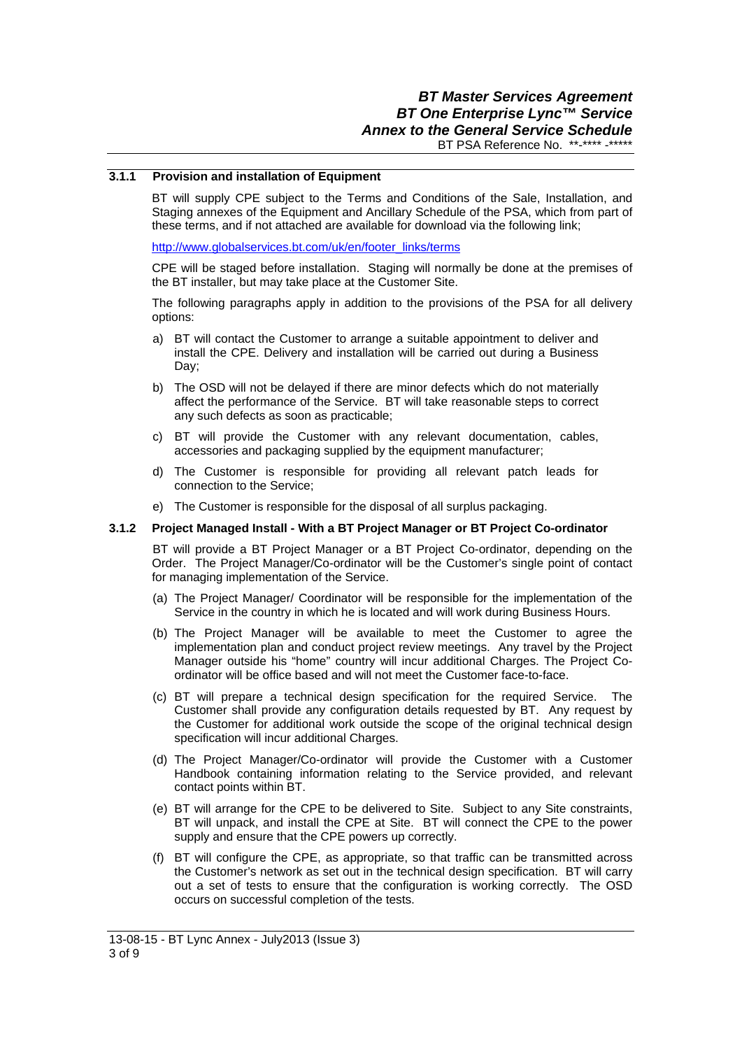### **3.1.1 Provision and installation of Equipment**

BT will supply CPE subject to the Terms and Conditions of the Sale, Installation, and Staging annexes of the Equipment and Ancillary Schedule of the PSA, which from part of these terms, and if not attached are available for download via the following link;

http://www.globalservices.bt.com/uk/en/footer\_links/terms

CPE will be staged before installation. Staging will normally be done at the premises of the BT installer, but may take place at the Customer Site.

The following paragraphs apply in addition to the provisions of the PSA for all delivery options:

- a) BT will contact the Customer to arrange a suitable appointment to deliver and install the CPE. Delivery and installation will be carried out during a Business Day;
- b) The OSD will not be delayed if there are minor defects which do not materially affect the performance of the Service. BT will take reasonable steps to correct any such defects as soon as practicable;
- c) BT will provide the Customer with any relevant documentation, cables, accessories and packaging supplied by the equipment manufacturer;
- d) The Customer is responsible for providing all relevant patch leads for connection to the Service;
- e) The Customer is responsible for the disposal of all surplus packaging.

#### **3.1.2 Project Managed Install - With a BT Project Manager or BT Project Co-ordinator**

BT will provide a BT Project Manager or a BT Project Co-ordinator, depending on the Order. The Project Manager/Co-ordinator will be the Customer's single point of contact for managing implementation of the Service.

- (a) The Project Manager/ Coordinator will be responsible for the implementation of the Service in the country in which he is located and will work during Business Hours.
- (b) The Project Manager will be available to meet the Customer to agree the implementation plan and conduct project review meetings. Any travel by the Project Manager outside his "home" country will incur additional Charges. The Project Coordinator will be office based and will not meet the Customer face-to-face.
- (c) BT will prepare a technical design specification for the required Service. The Customer shall provide any configuration details requested by BT. Any request by the Customer for additional work outside the scope of the original technical design specification will incur additional Charges.
- (d) The Project Manager/Co-ordinator will provide the Customer with a Customer Handbook containing information relating to the Service provided, and relevant contact points within BT.
- (e) BT will arrange for the CPE to be delivered to Site. Subject to any Site constraints, BT will unpack, and install the CPE at Site. BT will connect the CPE to the power supply and ensure that the CPE powers up correctly.
- (f) BT will configure the CPE, as appropriate, so that traffic can be transmitted across the Customer's network as set out in the technical design specification. BT will carry out a set of tests to ensure that the configuration is working correctly. The OSD occurs on successful completion of the tests.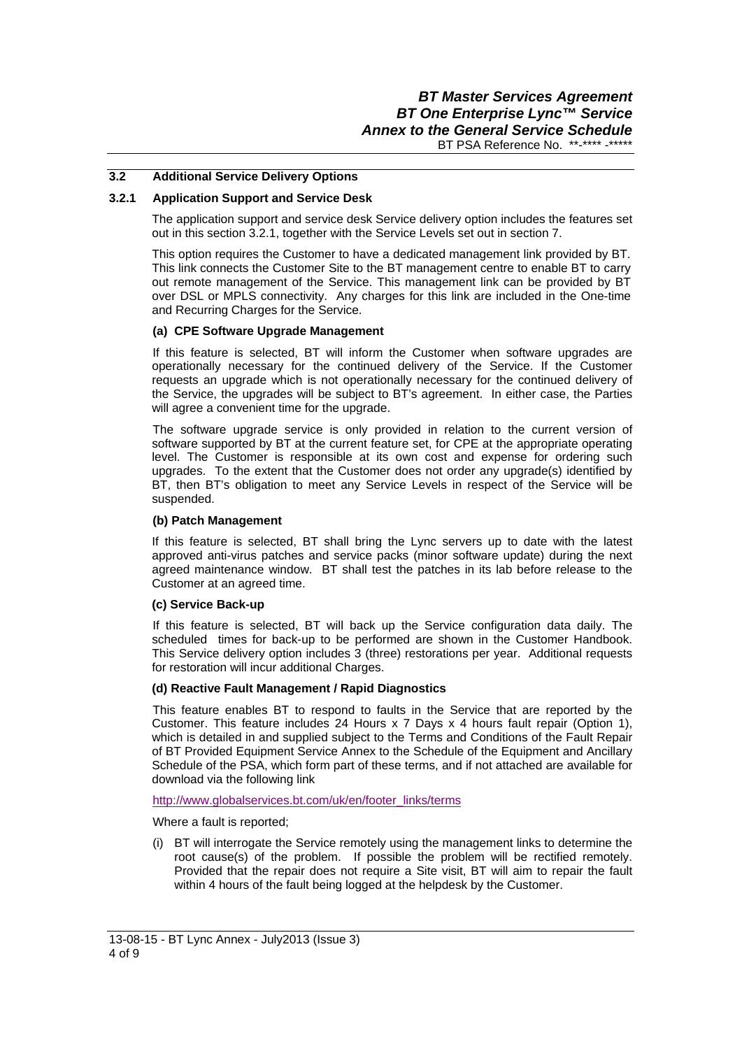## **3.2 Additional Service Delivery Options**

### **3.2.1 Application Support and Service Desk**

The application support and service desk Service delivery option includes the features set out in this section 3.2.1, together with the Service Levels set out in section 7.

This option requires the Customer to have a dedicated management link provided by BT. This link connects the Customer Site to the BT management centre to enable BT to carry out remote management of the Service. This management link can be provided by BT over DSL or MPLS connectivity. Any charges for this link are included in the One-time and Recurring Charges for the Service.

#### **(a) CPE Software Upgrade Management**

If this feature is selected, BT will inform the Customer when software upgrades are operationally necessary for the continued delivery of the Service. If the Customer requests an upgrade which is not operationally necessary for the continued delivery of the Service, the upgrades will be subject to BT's agreement. In either case, the Parties will agree a convenient time for the upgrade.

The software upgrade service is only provided in relation to the current version of software supported by BT at the current feature set, for CPE at the appropriate operating level. The Customer is responsible at its own cost and expense for ordering such upgrades. To the extent that the Customer does not order any upgrade(s) identified by BT, then BT's obligation to meet any Service Levels in respect of the Service will be suspended.

#### **(b) Patch Management**

If this feature is selected, BT shall bring the Lync servers up to date with the latest approved anti-virus patches and service packs (minor software update) during the next agreed maintenance window. BT shall test the patches in its lab before release to the Customer at an agreed time.

#### **(c) Service Back-up**

 If this feature is selected, BT will back up the Service configuration data daily. The scheduled times for back-up to be performed are shown in the Customer Handbook. This Service delivery option includes 3 (three) restorations per year. Additional requests for restoration will incur additional Charges.

### **(d) Reactive Fault Management / Rapid Diagnostics**

This feature enables BT to respond to faults in the Service that are reported by the Customer. This feature includes 24 Hours x 7 Days x 4 hours fault repair (Option 1), which is detailed in and supplied subject to the Terms and Conditions of the Fault Repair of BT Provided Equipment Service Annex to the Schedule of the Equipment and Ancillary Schedule of the PSA, which form part of these terms, and if not attached are available for download via the following link

http://www.globalservices.bt.com/uk/en/footer\_links/terms

Where a fault is reported;

(i) BT will interrogate the Service remotely using the management links to determine the root cause(s) of the problem. If possible the problem will be rectified remotely. Provided that the repair does not require a Site visit, BT will aim to repair the fault within 4 hours of the fault being logged at the helpdesk by the Customer.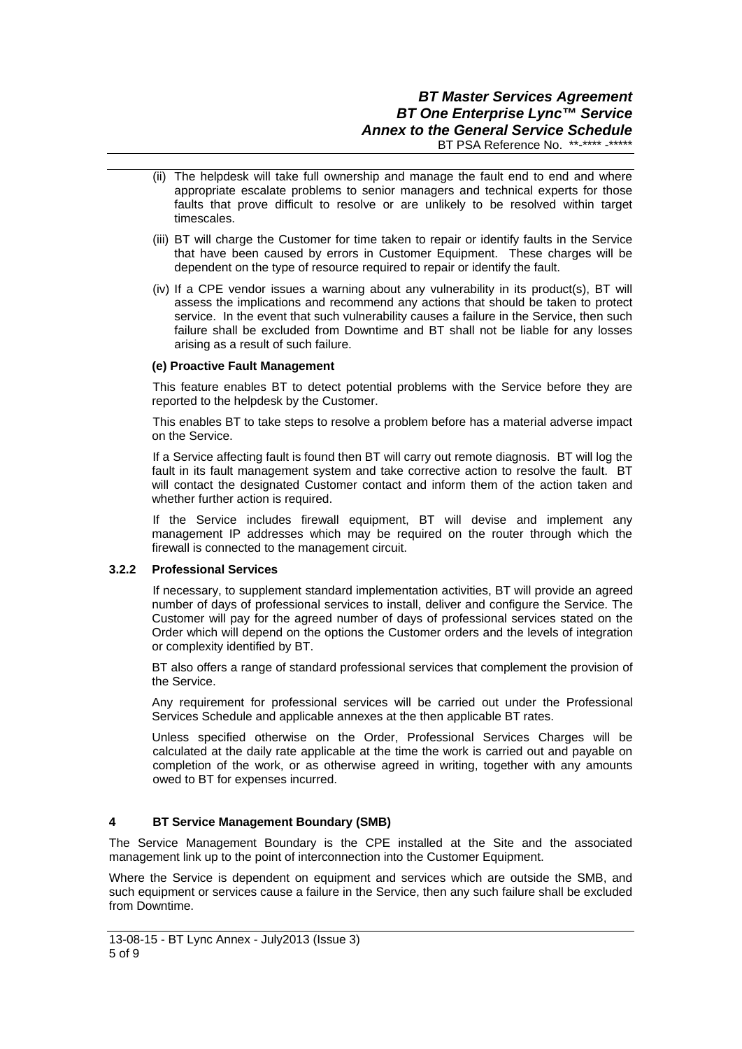- (ii) The helpdesk will take full ownership and manage the fault end to end and where appropriate escalate problems to senior managers and technical experts for those faults that prove difficult to resolve or are unlikely to be resolved within target timescales.
- (iii) BT will charge the Customer for time taken to repair or identify faults in the Service that have been caused by errors in Customer Equipment. These charges will be dependent on the type of resource required to repair or identify the fault.
- (iv) If a CPE vendor issues a warning about any vulnerability in its product(s), BT will assess the implications and recommend any actions that should be taken to protect service. In the event that such vulnerability causes a failure in the Service, then such failure shall be excluded from Downtime and BT shall not be liable for any losses arising as a result of such failure.

# **(e) Proactive Fault Management**

This feature enables BT to detect potential problems with the Service before they are reported to the helpdesk by the Customer.

This enables BT to take steps to resolve a problem before has a material adverse impact on the Service.

If a Service affecting fault is found then BT will carry out remote diagnosis. BT will log the fault in its fault management system and take corrective action to resolve the fault. BT will contact the designated Customer contact and inform them of the action taken and whether further action is required.

If the Service includes firewall equipment, BT will devise and implement any management IP addresses which may be required on the router through which the firewall is connected to the management circuit.

### **3.2.2 Professional Services**

 If necessary, to supplement standard implementation activities, BT will provide an agreed number of days of professional services to install, deliver and configure the Service. The Customer will pay for the agreed number of days of professional services stated on the Order which will depend on the options the Customer orders and the levels of integration or complexity identified by BT.

BT also offers a range of standard professional services that complement the provision of the Service.

Any requirement for professional services will be carried out under the Professional Services Schedule and applicable annexes at the then applicable BT rates.

Unless specified otherwise on the Order, Professional Services Charges will be calculated at the daily rate applicable at the time the work is carried out and payable on completion of the work, or as otherwise agreed in writing, together with any amounts owed to BT for expenses incurred.

# **4 BT Service Management Boundary (SMB)**

The Service Management Boundary is the CPE installed at the Site and the associated management link up to the point of interconnection into the Customer Equipment.

Where the Service is dependent on equipment and services which are outside the SMB, and such equipment or services cause a failure in the Service, then any such failure shall be excluded from Downtime.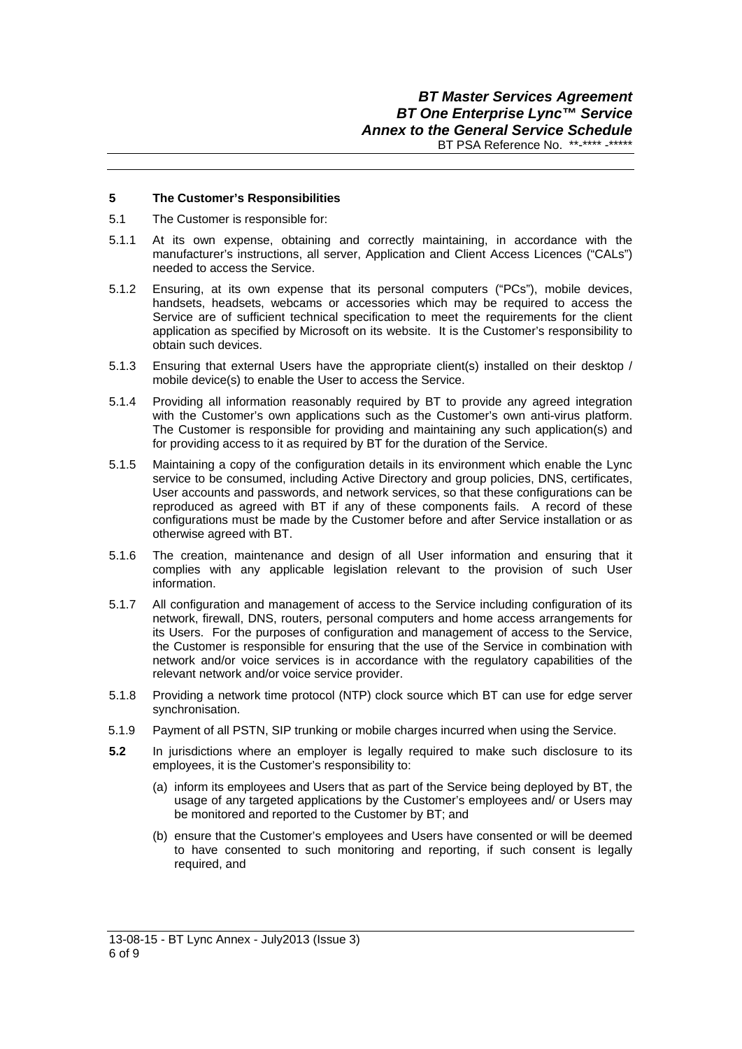## **5 The Customer's Responsibilities**

- 5.1 The Customer is responsible for:
- 5.1.1 At its own expense, obtaining and correctly maintaining, in accordance with the manufacturer's instructions, all server, Application and Client Access Licences ("CALs") needed to access the Service.
- 5.1.2 Ensuring, at its own expense that its personal computers ("PCs"), mobile devices, handsets, headsets, webcams or accessories which may be required to access the Service are of sufficient technical specification to meet the requirements for the client application as specified by Microsoft on its website. It is the Customer's responsibility to obtain such devices.
- 5.1.3 Ensuring that external Users have the appropriate client(s) installed on their desktop / mobile device(s) to enable the User to access the Service.
- 5.1.4 Providing all information reasonably required by BT to provide any agreed integration with the Customer's own applications such as the Customer's own anti-virus platform. The Customer is responsible for providing and maintaining any such application(s) and for providing access to it as required by BT for the duration of the Service.
- 5.1.5 Maintaining a copy of the configuration details in its environment which enable the Lync service to be consumed, including Active Directory and group policies, DNS, certificates, User accounts and passwords, and network services, so that these configurations can be reproduced as agreed with BT if any of these components fails. A record of these configurations must be made by the Customer before and after Service installation or as otherwise agreed with BT.
- 5.1.6 The creation, maintenance and design of all User information and ensuring that it complies with any applicable legislation relevant to the provision of such User information.
- 5.1.7 All configuration and management of access to the Service including configuration of its network, firewall, DNS, routers, personal computers and home access arrangements for its Users. For the purposes of configuration and management of access to the Service, the Customer is responsible for ensuring that the use of the Service in combination with network and/or voice services is in accordance with the regulatory capabilities of the relevant network and/or voice service provider.
- 5.1.8 Providing a network time protocol (NTP) clock source which BT can use for edge server synchronisation.
- 5.1.9 Payment of all PSTN, SIP trunking or mobile charges incurred when using the Service.
- **5.2** In jurisdictions where an employer is legally required to make such disclosure to its employees, it is the Customer's responsibility to:
	- (a) inform its employees and Users that as part of the Service being deployed by BT, the usage of any targeted applications by the Customer's employees and/ or Users may be monitored and reported to the Customer by BT; and
	- (b) ensure that the Customer's employees and Users have consented or will be deemed to have consented to such monitoring and reporting, if such consent is legally required, and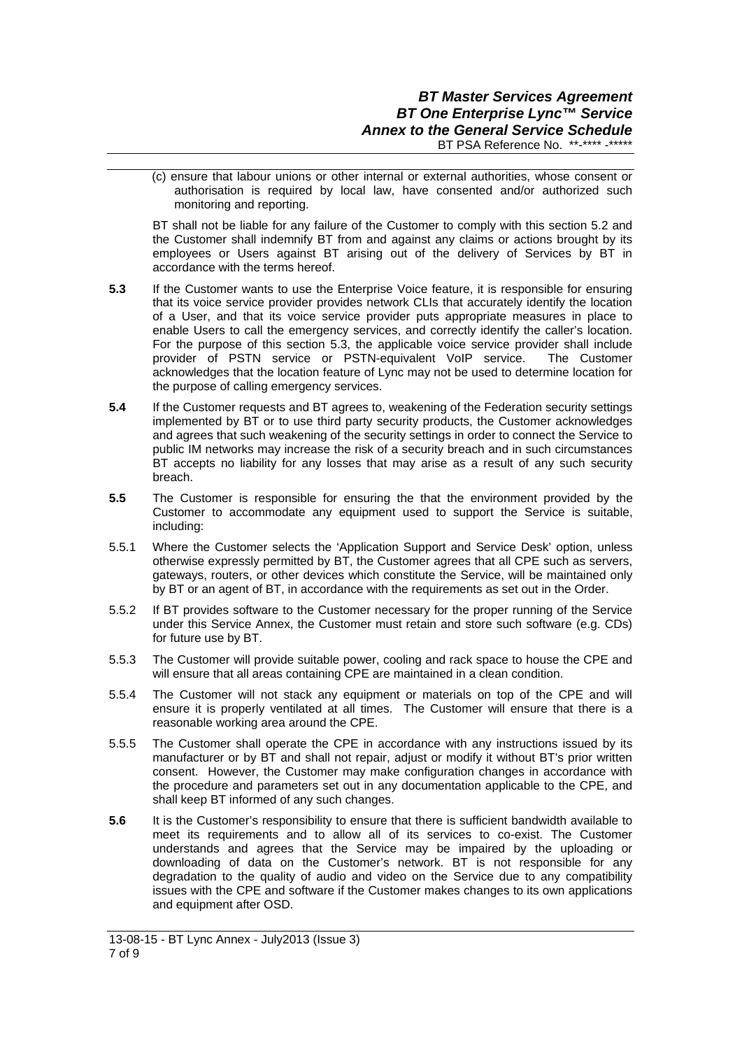(c) ensure that labour unions or other internal or external authorities, whose consent or authorisation is required by local law, have consented and/or authorized such monitoring and reporting.

BT shall not be liable for any failure of the Customer to comply with this section 5.2 and the Customer shall indemnify BT from and against any claims or actions brought by its employees or Users against BT arising out of the delivery of Services by BT in accordance with the terms hereof.

- **5.3** If the Customer wants to use the Enterprise Voice feature, it is responsible for ensuring that its voice service provider provides network CLIs that accurately identify the location of a User, and that its voice service provider puts appropriate measures in place to enable Users to call the emergency services, and correctly identify the caller's location. For the purpose of this section 5.3, the applicable voice service provider shall include provider of PSTN service or PSTN-equivalent VoIP service. The Customer acknowledges that the location feature of Lync may not be used to determine location for the purpose of calling emergency services.
- **5.4** If the Customer requests and BT agrees to, weakening of the Federation security settings implemented by BT or to use third party security products, the Customer acknowledges and agrees that such weakening of the security settings in order to connect the Service to public IM networks may increase the risk of a security breach and in such circumstances BT accepts no liability for any losses that may arise as a result of any such security breach.
- **5.5** The Customer is responsible for ensuring the that the environment provided by the Customer to accommodate any equipment used to support the Service is suitable, including:
- 5.5.1 Where the Customer selects the 'Application Support and Service Desk' option, unless otherwise expressly permitted by BT, the Customer agrees that all CPE such as servers, gateways, routers, or other devices which constitute the Service, will be maintained only by BT or an agent of BT, in accordance with the requirements as set out in the Order.
- 5.5.2 If BT provides software to the Customer necessary for the proper running of the Service under this Service Annex, the Customer must retain and store such software (e.g. CDs) for future use by BT.
- 5.5.3 The Customer will provide suitable power, cooling and rack space to house the CPE and will ensure that all areas containing CPE are maintained in a clean condition.
- 5.5.4 The Customer will not stack any equipment or materials on top of the CPE and will ensure it is properly ventilated at all times. The Customer will ensure that there is a reasonable working area around the CPE.
- 5.5.5 The Customer shall operate the CPE in accordance with any instructions issued by its manufacturer or by BT and shall not repair, adjust or modify it without BT's prior written consent. However, the Customer may make configuration changes in accordance with the procedure and parameters set out in any documentation applicable to the CPE, and shall keep BT informed of any such changes.
- **5.6** It is the Customer's responsibility to ensure that there is sufficient bandwidth available to meet its requirements and to allow all of its services to co-exist. The Customer understands and agrees that the Service may be impaired by the uploading or downloading of data on the Customer's network. BT is not responsible for any degradation to the quality of audio and video on the Service due to any compatibility issues with the CPE and software if the Customer makes changes to its own applications and equipment after OSD.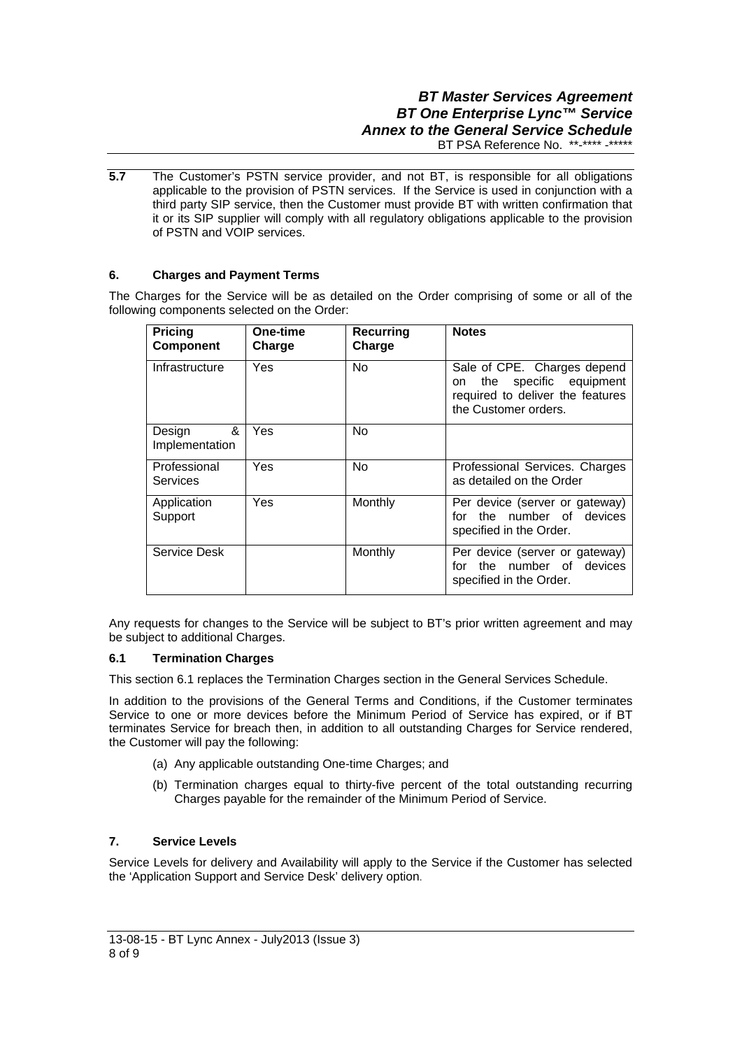# *BT Master Services Agreement BT One Enterprise Lync™ Service Annex to the General Service Schedule*  BT PSA Reference No. \*\*-\*\*\*\* -\*\*\*\*\*

**5.7** The Customer's PSTN service provider, and not BT, is responsible for all obligations applicable to the provision of PSTN services. If the Service is used in conjunction with a third party SIP service, then the Customer must provide BT with written confirmation that it or its SIP supplier will comply with all regulatory obligations applicable to the provision of PSTN and VOIP services.

# **6. Charges and Payment Terms**

The Charges for the Service will be as detailed on the Order comprising of some or all of the following components selected on the Order:

| Pricing<br><b>Component</b>   | One-time<br>Charge | <b>Recurring</b><br>Charge | <b>Notes</b>                                                                                                         |
|-------------------------------|--------------------|----------------------------|----------------------------------------------------------------------------------------------------------------------|
| Infrastructure                | Yes                | <b>No</b>                  | Sale of CPE. Charges depend<br>on the specific equipment<br>required to deliver the features<br>the Customer orders. |
| &<br>Design<br>Implementation | Yes.               | <b>No</b>                  |                                                                                                                      |
| Professional<br>Services      | Yes                | N <sub>0</sub>             | Professional Services. Charges<br>as detailed on the Order                                                           |
| Application<br>Support        | Yes                | Monthly                    | Per device (server or gateway)<br>for the number of devices<br>specified in the Order.                               |
| Service Desk                  |                    | Monthly                    | Per device (server or gateway)<br>the number of devices<br>for<br>specified in the Order.                            |

Any requests for changes to the Service will be subject to BT's prior written agreement and may be subject to additional Charges.

### **6.1 Termination Charges**

This section 6.1 replaces the Termination Charges section in the General Services Schedule.

In addition to the provisions of the General Terms and Conditions, if the Customer terminates Service to one or more devices before the Minimum Period of Service has expired, or if BT terminates Service for breach then, in addition to all outstanding Charges for Service rendered, the Customer will pay the following:

- (a) Any applicable outstanding One-time Charges; and
- (b) Termination charges equal to thirty-five percent of the total outstanding recurring Charges payable for the remainder of the Minimum Period of Service.

# **7. Service Levels**

Service Levels for delivery and Availability will apply to the Service if the Customer has selected the 'Application Support and Service Desk' delivery option.